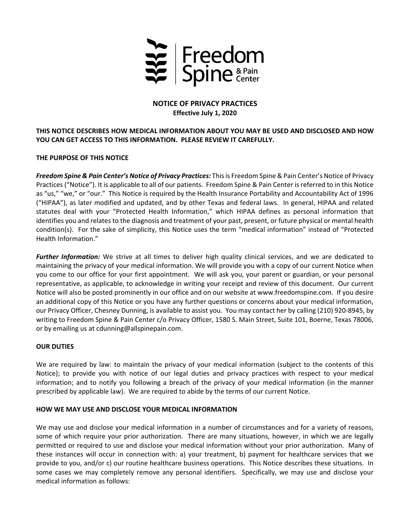

# **NOTICE OF PRIVACY PRACTICES Effective July 1, 2020**

# **THIS NOTICE DESCRIBES HOW MEDICAL INFORMATION ABOUT YOU MAY BE USED AND DISCLOSED AND HOW YOU CAN GET ACCESS TO THIS INFORMATION. PLEASE REVIEW IT CAREFULLY.**

# **THE PURPOSE OF THIS NOTICE**

*Freedom Spine & Pain Center's Notice of Privacy Practices:* Thisis Freedom Spine& Pain Center's Notice of Privacy Practices ("Notice"). It is applicable to all of our patients. Freedom Spine & Pain Center is referred to in this Notice as "us," "we," or "our." This Notice is required by the Health Insurance Portability and Accountability Act of 1996 ("HIPAA"), as later modified and updated, and by other Texas and federal laws. In general, HIPAA and related statutes deal with your "Protected Health Information," which HIPAA defines as personal information that identifies you and relates to the diagnosis and treatment of your past, present, or future physical or mental health condition(s). For the sake of simplicity, this Notice uses the term "medical information" instead of "Protected Health Information."

*Further Information:* We strive at all times to deliver high quality clinical services, and we are dedicated to maintaining the privacy of your medical information. We will provide you with a copy of our current Notice when you come to our office for your first appointment. We will ask you, your parent or guardian, or your personal representative, as applicable, to acknowledge in writing your receipt and review of this document. Our current Notice will also be posted prominently in our office and on our website at www.freedomspine.com. If you desire an additional copy of this Notice or you have any further questions or concerns about your medical information, our Privacy Officer, Chesney Dunning, is available to assist you. You may contact her by calling (210) 920‐8945, by writing to Freedom Spine & Pain Center c/o Privacy Officer, 1580 S. Main Street, Suite 101, Boerne, Texas 78006, or by emailing us at cdunning@allspinepain.com.

### **OUR DUTIES**

We are required by law: to maintain the privacy of your medical information (subject to the contents of this Notice); to provide you with notice of our legal duties and privacy practices with respect to your medical information; and to notify you following a breach of the privacy of your medical information (in the manner prescribed by applicable law). We are required to abide by the terms of our current Notice.

### **HOW WE MAY USE AND DISCLOSE YOUR MEDICAL INFORMATION**

We may use and disclose your medical information in a number of circumstances and for a variety of reasons, some of which require your prior authorization. There are many situations, however, in which we are legally permitted or required to use and disclose your medical information without your prior authorization. Many of these instances will occur in connection with: a) your treatment, b) payment for healthcare services that we provide to you, and/or c) our routine healthcare business operations. This Notice describes these situations. In some cases we may completely remove any personal identifiers. Specifically, we may use and disclose your medical information as follows: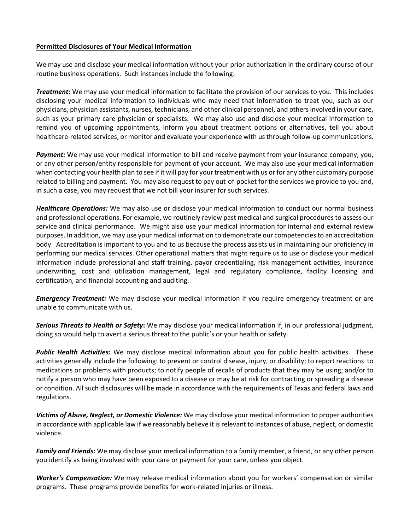#### **Permitted Disclosures of Your Medical Information**

We may use and disclose your medical information without your prior authorization in the ordinary course of our routine business operations. Such instances include the following:

*Treatment***:** We may use your medical information to facilitate the provision of our services to you. This includes disclosing your medical information to individuals who may need that information to treat you, such as our physicians, physician assistants, nurses, technicians, and other clinical personnel, and othersinvolved in your care, such as your primary care physician or specialists. We may also use and disclose your medical information to remind you of upcoming appointments, inform you about treatment options or alternatives, tell you about healthcare-related services, or monitor and evaluate your experience with us through follow-up communications.

*Payment:* We may use your medical information to bill and receive payment from your insurance company, you, or any other person/entity responsible for payment of your account. We may also use your medical information when contacting your health plan to see if it will pay for your treatment with us or for any other customary purpose related to billing and payment. You may also request to pay out‐of‐pocket for the services we provide to you and, in such a case, you may request that we not bill your insurer for such services.

*Healthcare Operations:* We may also use or disclose your medical information to conduct our normal business and professional operations. For example, we routinely review past medical and surgical procedures to assess our service and clinical performance. We might also use your medical information for internal and external review purposes. In addition, we may use your medical information to demonstrate our competenciesto an accreditation body. Accreditation is important to you and to us because the process assists us in maintaining our proficiency in performing our medical services. Other operational matters that might require us to use or disclose your medical information include professional and staff training, payor credentialing, risk management activities, insurance underwriting, cost and utilization management, legal and regulatory compliance, facility licensing and certification, and financial accounting and auditing.

*Emergency Treatment:* We may disclose your medical information if you require emergency treatment or are unable to communicate with us.

*Serious Threats to Health or Safety***:** We may disclose your medical information if, in our professional judgment, doing so would help to avert a serious threat to the public's or your health or safety.

*Public Health Activities:* We may disclose medical information about you for public health activities. These activities generally include the following: to prevent or control disease, injury, or disability; to report reactions to medications or problems with products; to notify people of recalls of products that they may be using; and/or to notify a person who may have been exposed to a disease or may be at risk for contracting or spreading a disease or condition. All such disclosures will be made in accordance with the requirements of Texas and federal laws and regulations.

*Victims of Abuse, Neglect, or Domestic Violence:* We may disclose your medical information to proper authorities in accordance with applicable law if we reasonably believe it isrelevant to instances of abuse, neglect, or domestic violence.

*Family and Friends:* We may disclose your medical information to a family member, a friend, or any other person you identify as being involved with your care or payment for your care, unless you object.

*Worker's Compensation:* We may release medical information about you for workers' compensation or similar programs. These programs provide benefits for work‐related injuries or illness.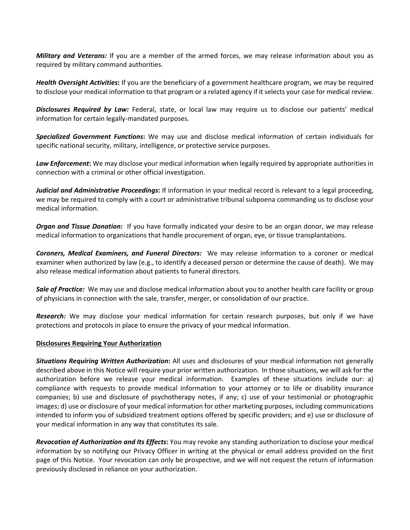*Military and Veterans:* If you are a member of the armed forces, we may release information about you as required by military command authorities.

*Health Oversight Activities***:** If you are the beneficiary of a government healthcare program, we may be required to disclose your medical information to that program or a related agency if it selects your case for medical review.

*Disclosures Required by Law:* Federal, state, or local law may require us to disclose our patients' medical information for certain legally‐mandated purposes.

*Specialized Government Functions***:** We may use and disclose medical information of certain individuals for specific national security, military, intelligence, or protective service purposes.

*Law Enforcement***:** We may disclose your medical information when legally required by appropriate authorities in connection with a criminal or other official investigation.

*Judicial and Administrative Proceedings***:** If information in your medical record is relevant to a legal proceeding, we may be required to comply with a court or administrative tribunal subpoena commanding us to disclose your medical information.

*Organ and Tissue Donation:* If you have formally indicated your desire to be an organ donor, we may release medical information to organizations that handle procurement of organ, eye, or tissue transplantations.

*Coroners, Medical Examiners, and Funeral Directors:*  We may release information to a coroner or medical examiner when authorized by law (e.g., to identify a deceased person or determine the cause of death). We may also release medical information about patients to funeral directors.

*Sale of Practice:* We may use and disclose medical information about you to another health care facility or group of physicians in connection with the sale, transfer, merger, or consolidation of our practice.

*Research:* We may disclose your medical information for certain research purposes, but only if we have protections and protocols in place to ensure the privacy of your medical information. 

#### **Disclosures Requiring Your Authorization**

*Situations Requiring Written Authorization***:** All uses and disclosures of your medical information not generally described above in this Notice will require your prior written authorization. In those situations, we will ask for the authorization before we release your medical information. Examples of these situations include our: a) compliance with requests to provide medical information to your attorney or to life or disability insurance companies; b) use and disclosure of psychotherapy notes, if any; c) use of your testimonial or photographic images; d) use or disclosure of your medical information for other marketing purposes, including communications intended to inform you of subsidized treatment options offered by specific providers; and e) use or disclosure of your medical information in any way that constitutes its sale.

*Revocation of Authorization and Its Effects***:** You may revoke any standing authorization to disclose your medical information by so notifying our Privacy Officer in writing at the physical or email address provided on the first page of this Notice. Your revocation can only be prospective, and we will not request the return of information previously disclosed in reliance on your authorization.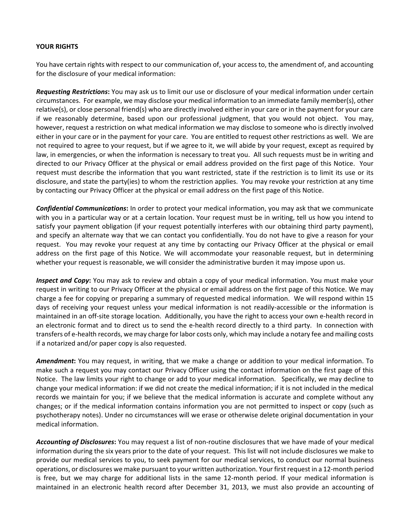#### **YOUR RIGHTS**

You have certain rights with respect to our communication of, your access to, the amendment of, and accounting for the disclosure of your medical information:

*Requesting Restrictions***:** You may ask us to limit our use or disclosure of your medical information under certain circumstances. For example, we may disclose your medical information to an immediate family member(s), other relative(s), or close personal friend(s) who are directly involved either in your care or in the payment for your care if we reasonably determine, based upon our professional judgment, that you would not object. You may, however, request a restriction on what medical information we may disclose to someone who is directly involved either in your care or in the payment for your care. You are entitled to request other restrictions as well. We are not required to agree to your request, but if we agree to it, we will abide by your request, except as required by law, in emergencies, or when the information is necessary to treat you. All such requests must be in writing and directed to our Privacy Officer at the physical or email address provided on the first page of this Notice. Your request must describe the information that you want restricted, state if the restriction is to limit its use or its disclosure, and state the party(ies) to whom the restriction applies. You may revoke your restriction at any time by contacting our Privacy Officer at the physical or email address on the first page of this Notice.

*Confidential Communications***:** In order to protect your medical information, you may ask that we communicate with you in a particular way or at a certain location. Your request must be in writing, tell us how you intend to satisfy your payment obligation (if your request potentially interferes with our obtaining third party payment), and specify an alternate way that we can contact you confidentially. You do not have to give a reason for your request. You may revoke your request at any time by contacting our Privacy Officer at the physical or email address on the first page of this Notice. We will accommodate your reasonable request, but in determining whether your request is reasonable, we will consider the administrative burden it may impose upon us.

*Inspect and Copy***:** You may ask to review and obtain a copy of your medical information. You must make your request in writing to our Privacy Officer at the physical or email address on the first page of this Notice. We may charge a fee for copying or preparing a summary of requested medical information. We will respond within 15 days of receiving your request unless your medical information is not readily‐accessible or the information is maintained in an off‐site storage location. Additionally, you have the right to access your own e‐health record in an electronic format and to direct us to send the e‐health record directly to a third party. In connection with transfers of e‐health records, we may charge for labor costs only, which may include a notary fee and mailing costs if a notarized and/or paper copy is also requested.

*Amendment***:** You may request, in writing, that we make a change or addition to your medical information. To make such a request you may contact our Privacy Officer using the contact information on the first page of this Notice. The law limits your right to change or add to your medical information. Specifically, we may decline to change your medical information: if we did not create the medical information; if it is not included in the medical records we maintain for you; if we believe that the medical information is accurate and complete without any changes; or if the medical information contains information you are not permitted to inspect or copy (such as psychotherapy notes). Under no circumstances will we erase or otherwise delete original documentation in your medical information.

*Accounting of Disclosures***:** You may request a list of non‐routine disclosures that we have made of your medical information during the six years prior to the date of your request. This list will not include disclosures we make to provide our medical services to you, to seek payment for our medical services, to conduct our normal business operations, or disclosures we make pursuant to your written authorization. Your firstrequest in a 12‐month period is free, but we may charge for additional lists in the same 12‐month period. If your medical information is maintained in an electronic health record after December 31, 2013, we must also provide an accounting of